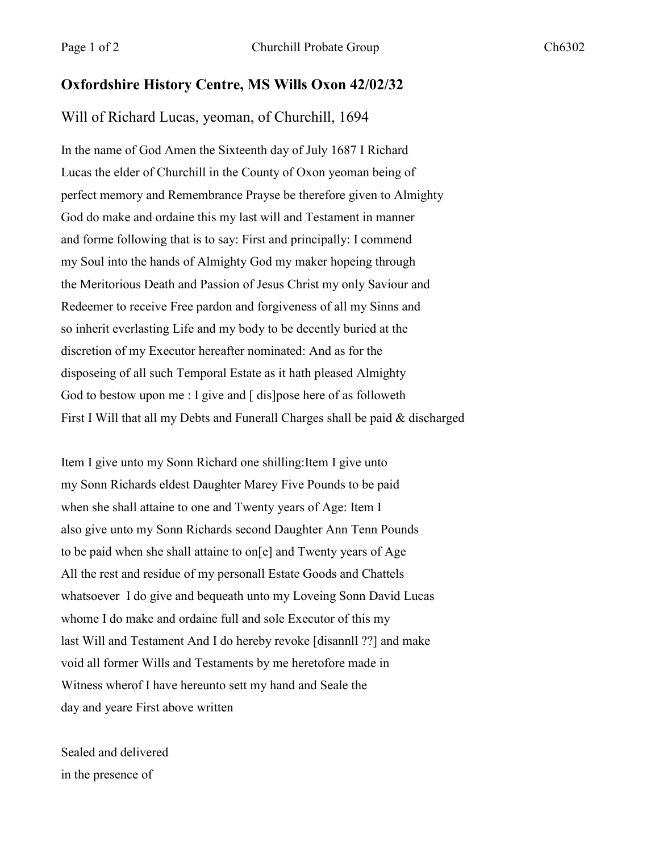## **Oxfordshire History Centre, MS Wills Oxon 42/02/32**

Will of Richard Lucas, yeoman, of Churchill, 1694

In the name of God Amen the Sixteenth day of July 1687 I Richard Lucas the elder of Churchill in the County of Oxon yeoman being of perfect memory and Remembrance Prayse be therefore given to Almighty God do make and ordaine this my last will and Testament in manner and forme following that is to say: First and principally: I commend my Soul into the hands of Almighty God my maker hopeing through the Meritorious Death and Passion of Jesus Christ my only Saviour and Redeemer to receive Free pardon and forgiveness of all my Sinns and so inherit everlasting Life and my body to be decently buried at the discretion of my Executor hereafter nominated: And as for the disposeing of all such Temporal Estate as it hath pleased Almighty God to bestow upon me : I give and [ dis]pose here of as followeth First I Will that all my Debts and Funerall Charges shall be paid & discharged

Item I give unto my Sonn Richard one shilling:Item I give unto my Sonn Richards eldest Daughter Marey Five Pounds to be paid when she shall attaine to one and Twenty years of Age: Item I also give unto my Sonn Richards second Daughter Ann Tenn Pounds to be paid when she shall attaine to on[e] and Twenty years of Age All the rest and residue of my personall Estate Goods and Chattels whatsoever I do give and bequeath unto my Loveing Sonn David Lucas whome I do make and ordaine full and sole Executor of this my last Will and Testament And I do hereby revoke [disannll ??] and make void all former Wills and Testaments by me heretofore made in Witness wherof I have hereunto sett my hand and Seale the day and yeare First above written

Sealed and delivered in the presence of